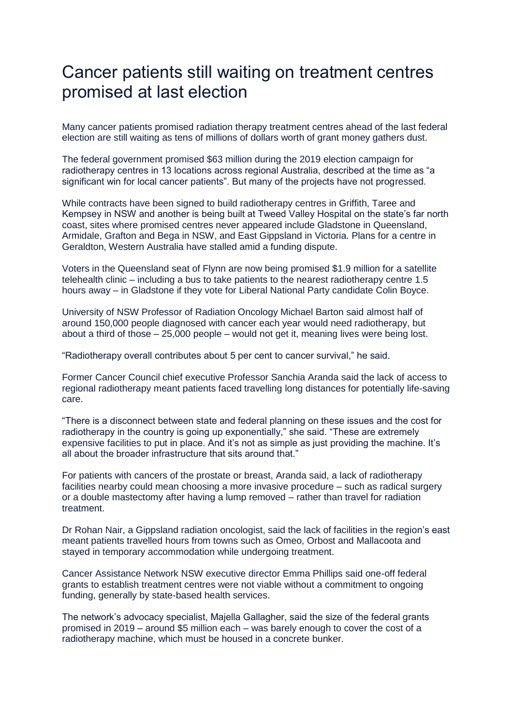## Cancer patients still waiting on treatment centres promised at last election

Many cancer patients promised radiation therapy treatment centres ahead of the last federal election are still waiting as tens of millions of dollars worth of grant money gathers dust.

The federal government promised \$63 million during the 2019 election campaign for radiotherapy centres in 13 locations across regional Australia, described at the time as "a significant win for local cancer patients". But many of the projects have not progressed.

While contracts have been signed to build radiotherapy centres in Griffith, Taree and Kempsey in NSW and another is being built at Tweed Valley Hospital on the state's far north coast, sites where promised centres never appeared include Gladstone in Queensland, Armidale, Grafton and Bega in NSW, and East Gippsland in Victoria. Plans for a centre in Geraldton, Western Australia have stalled amid a funding dispute.

Voters in the Queensland seat of Flynn are now being promised \$1.9 million for a satellite telehealth clinic – including a bus to take patients to the nearest radiotherapy centre 1.5 hours away – in Gladstone if they vote for Liberal National Party candidate Colin Boyce.

University of NSW Professor of Radiation Oncology Michael Barton said almost half of around 150,000 people diagnosed with cancer each year would need radiotherapy, but about a third of those – 25,000 people – would not get it, meaning lives were being lost.

"Radiotherapy overall contributes about 5 per cent to cancer survival," he said.

Former Cancer Council chief executive Professor Sanchia Aranda said the lack of access to regional radiotherapy meant patients faced travelling long distances for potentially life-saving care.

"There is a disconnect between state and federal planning on these issues and the cost for radiotherapy in the country is going up exponentially," she said. "These are extremely expensive facilities to put in place. And it's not as simple as just providing the machine. It's all about the broader infrastructure that sits around that."

For patients with cancers of the prostate or breast, Aranda said, a lack of radiotherapy facilities nearby could mean choosing a more invasive procedure – such as radical surgery or a double mastectomy after having a lump removed – rather than travel for radiation treatment.

Dr Rohan Nair, a Gippsland radiation oncologist, said the lack of facilities in the region's east meant patients travelled hours from towns such as Omeo, Orbost and Mallacoota and stayed in temporary accommodation while undergoing treatment.

Cancer Assistance Network NSW executive director Emma Phillips said one-off federal grants to establish treatment centres were not viable without a commitment to ongoing funding, generally by state-based health services.

The network's advocacy specialist, Majella Gallagher, said the size of the federal grants promised in 2019 – around \$5 million each – was barely enough to cover the cost of a radiotherapy machine, which must be housed in a concrete bunker.